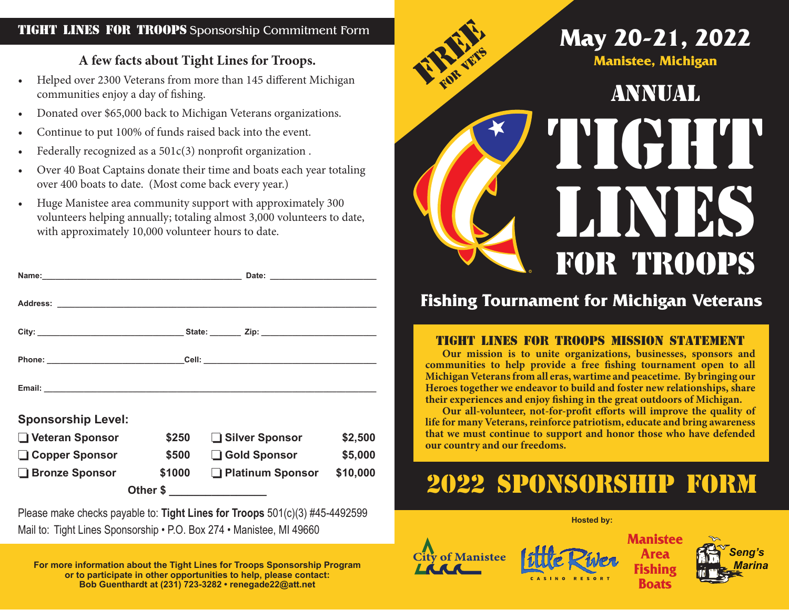## TIGHT LINES FOR TROOPS Sponsorship Commitment Form

## **A few facts about Tight Lines for Troops.**

- Helped over 2300 Veterans from more than 145 different Michigan communities enjoy a day of fishing.
- Donated over \$65,000 back to Michigan Veterans organizations.
- Continue to put 100% of funds raised back into the event.
- Federally recognized as a  $501c(3)$  nonprofit organization.
- Over 40 Boat Captains donate their time and boats each year totaling over 400 boats to date. (Most come back every year.)
- Huge Manistee area community support with approximately 300 volunteers helping annually; totaling almost 3,000 volunteers to date, with approximately 10,000 volunteer hours to date.

| Email: Email: Email: Email: Email: Email: Email: Email: Email: Email: Email: Email: Email: Email: Email: Email: Email: Email: Email: Email: Email: Email: Email: Email: Email: Email: Email: Email: Email: Email: Email: Email |        |                  |                         |          |
|--------------------------------------------------------------------------------------------------------------------------------------------------------------------------------------------------------------------------------|--------|------------------|-------------------------|----------|
| <b>Sponsorship Level:</b>                                                                                                                                                                                                      |        |                  |                         |          |
| □ Veteran Sponsor                                                                                                                                                                                                              | \$250  | □ Silver Sponsor |                         | \$2,500  |
| □ Copper Sponsor                                                                                                                                                                                                               | \$500  |                  | Gold Sponsor<br>\$5,000 |          |
| <b>Bronze Sponsor</b>                                                                                                                                                                                                          | \$1000 |                  | □ Platinum Sponsor      | \$10,000 |
|                                                                                                                                                                                                                                |        | Other \$         |                         |          |

Please make checks payable to: **Tight Lines for Troops** 501(c)(3) #45-4492599 Mail to: Tight Lines Sponsorship • P.O. Box 274 • Manistee, MI 49660 **Manistee and Amazing Construction of Manistee Manistee** 

**For more information about the Tight Lines for Troops Sponsorship Program or to participate in other opportunities to help, please contact: Bob Guenthardt at (231) 723-3282 • renegade22@att.net**



## **Fishing Tournament for Michigan Veterans**

## Tight Lines for Troops Mission Statement

**Our mission is to unite organizations, businesses, sponsors and communities to help provide a free fishing tournament open to all Michigan Veterans from all eras, wartime and peacetime. By bringing our Heroes together we endeavor to build and foster new relationships, share their experiences and enjoy fishing in the great outdoors of Michigan.** 

**Our all-volunteer, not-for-profit efforts will improve the quality of life for many Veterans, reinforce patriotism, educate and bring awareness that we must continue to support and honor those who have defended our country and our freedoms.**

## 2022 sponsorship form

### **Hosted by:**